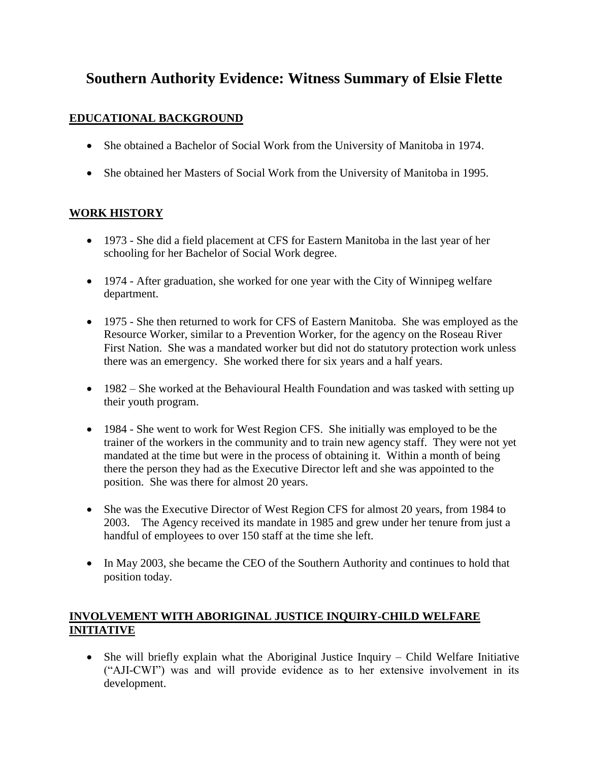# **Southern Authority Evidence: Witness Summary of Elsie Flette**

# **EDUCATIONAL BACKGROUND**

- She obtained a Bachelor of Social Work from the University of Manitoba in 1974.
- She obtained her Masters of Social Work from the University of Manitoba in 1995.

# **WORK HISTORY**

- 1973 She did a field placement at CFS for Eastern Manitoba in the last year of her schooling for her Bachelor of Social Work degree.
- 1974 After graduation, she worked for one year with the City of Winnipeg welfare department.
- 1975 She then returned to work for CFS of Eastern Manitoba. She was employed as the Resource Worker, similar to a Prevention Worker, for the agency on the Roseau River First Nation. She was a mandated worker but did not do statutory protection work unless there was an emergency. She worked there for six years and a half years.
- 1982 She worked at the Behavioural Health Foundation and was tasked with setting up their youth program.
- 1984 She went to work for West Region CFS. She initially was employed to be the trainer of the workers in the community and to train new agency staff. They were not yet mandated at the time but were in the process of obtaining it. Within a month of being there the person they had as the Executive Director left and she was appointed to the position. She was there for almost 20 years.
- She was the Executive Director of West Region CFS for almost 20 years, from 1984 to 2003. The Agency received its mandate in 1985 and grew under her tenure from just a handful of employees to over 150 staff at the time she left.
- In May 2003, she became the CEO of the Southern Authority and continues to hold that position today.

# **INVOLVEMENT WITH ABORIGINAL JUSTICE INQUIRY-CHILD WELFARE INITIATIVE**

• She will briefly explain what the Aboriginal Justice Inquiry – Child Welfare Initiative ("AJI-CWI") was and will provide evidence as to her extensive involvement in its development.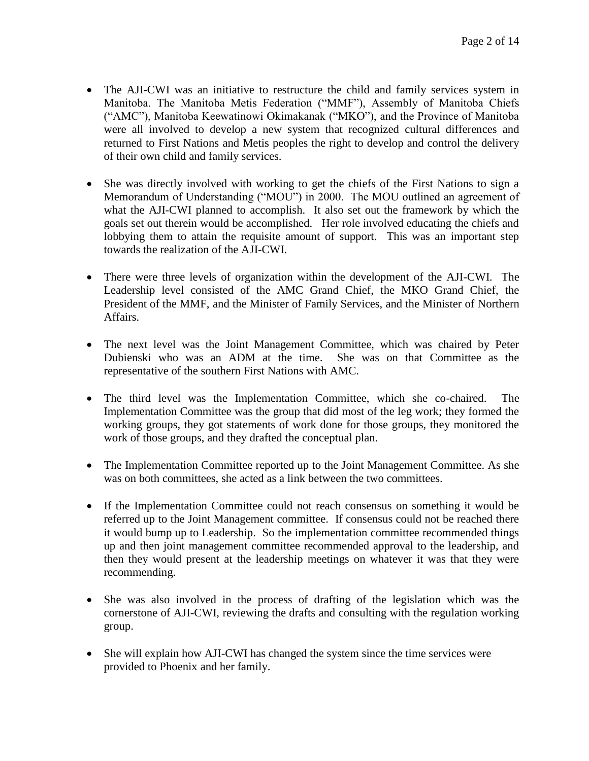- The AJI-CWI was an initiative to restructure the child and family services system in Manitoba. The Manitoba Metis Federation ("MMF"), Assembly of Manitoba Chiefs ("AMC"), Manitoba Keewatinowi Okimakanak ("MKO"), and the Province of Manitoba were all involved to develop a new system that recognized cultural differences and returned to First Nations and Metis peoples the right to develop and control the delivery of their own child and family services.
- She was directly involved with working to get the chiefs of the First Nations to sign a Memorandum of Understanding ("MOU") in 2000. The MOU outlined an agreement of what the AJI-CWI planned to accomplish. It also set out the framework by which the goals set out therein would be accomplished. Her role involved educating the chiefs and lobbying them to attain the requisite amount of support. This was an important step towards the realization of the AJI-CWI.
- There were three levels of organization within the development of the AJI-CWI. The Leadership level consisted of the AMC Grand Chief, the MKO Grand Chief, the President of the MMF, and the Minister of Family Services, and the Minister of Northern Affairs.
- The next level was the Joint Management Committee, which was chaired by Peter Dubienski who was an ADM at the time. She was on that Committee as the representative of the southern First Nations with AMC.
- The third level was the Implementation Committee, which she co-chaired. The Implementation Committee was the group that did most of the leg work; they formed the working groups, they got statements of work done for those groups, they monitored the work of those groups, and they drafted the conceptual plan.
- The Implementation Committee reported up to the Joint Management Committee. As she was on both committees, she acted as a link between the two committees.
- If the Implementation Committee could not reach consensus on something it would be referred up to the Joint Management committee. If consensus could not be reached there it would bump up to Leadership. So the implementation committee recommended things up and then joint management committee recommended approval to the leadership, and then they would present at the leadership meetings on whatever it was that they were recommending.
- She was also involved in the process of drafting of the legislation which was the cornerstone of AJI-CWI, reviewing the drafts and consulting with the regulation working group.
- She will explain how AJI-CWI has changed the system since the time services were provided to Phoenix and her family.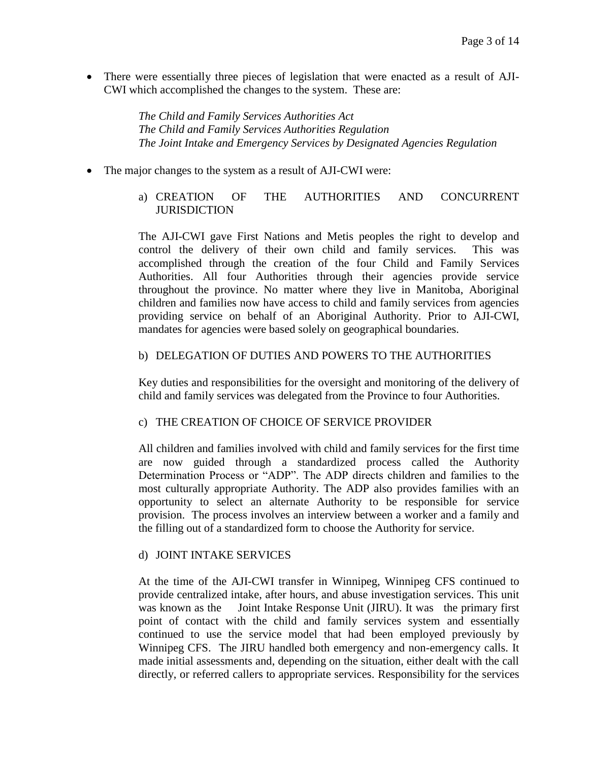There were essentially three pieces of legislation that were enacted as a result of AJI-CWI which accomplished the changes to the system. These are:

> *The Child and Family Services Authorities Act The Child and Family Services Authorities Regulation The Joint Intake and Emergency Services by Designated Agencies Regulation*

• The major changes to the system as a result of AJI-CWI were:

## a) CREATION OF THE AUTHORITIES AND CONCURRENT JURISDICTION

The AJI-CWI gave First Nations and Metis peoples the right to develop and control the delivery of their own child and family services. This was accomplished through the creation of the four Child and Family Services Authorities. All four Authorities through their agencies provide service throughout the province. No matter where they live in Manitoba, Aboriginal children and families now have access to child and family services from agencies providing service on behalf of an Aboriginal Authority. Prior to AJI-CWI, mandates for agencies were based solely on geographical boundaries.

#### b) DELEGATION OF DUTIES AND POWERS TO THE AUTHORITIES

Key duties and responsibilities for the oversight and monitoring of the delivery of child and family services was delegated from the Province to four Authorities.

#### c) THE CREATION OF CHOICE OF SERVICE PROVIDER

All children and families involved with child and family services for the first time are now guided through a standardized process called the Authority Determination Process or "ADP". The ADP directs children and families to the most culturally appropriate Authority. The ADP also provides families with an opportunity to select an alternate Authority to be responsible for service provision. The process involves an interview between a worker and a family and the filling out of a standardized form to choose the Authority for service.

#### d) JOINT INTAKE SERVICES

At the time of the AJI-CWI transfer in Winnipeg, Winnipeg CFS continued to provide centralized intake, after hours, and abuse investigation services. This unit was known as the Joint Intake Response Unit (JIRU). It was the primary first point of contact with the child and family services system and essentially continued to use the service model that had been employed previously by Winnipeg CFS. The JIRU handled both emergency and non-emergency calls. It made initial assessments and, depending on the situation, either dealt with the call directly, or referred callers to appropriate services. Responsibility for the services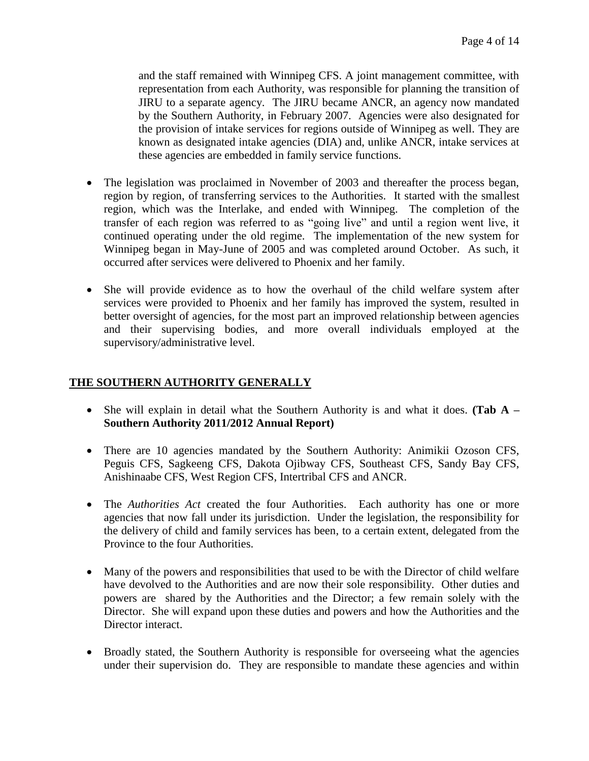and the staff remained with Winnipeg CFS. A joint management committee, with representation from each Authority, was responsible for planning the transition of JIRU to a separate agency. The JIRU became ANCR, an agency now mandated by the Southern Authority, in February 2007. Agencies were also designated for the provision of intake services for regions outside of Winnipeg as well. They are known as designated intake agencies (DIA) and, unlike ANCR, intake services at these agencies are embedded in family service functions.

- The legislation was proclaimed in November of 2003 and thereafter the process began, region by region, of transferring services to the Authorities. It started with the smallest region, which was the Interlake, and ended with Winnipeg. The completion of the transfer of each region was referred to as "going live" and until a region went live, it continued operating under the old regime. The implementation of the new system for Winnipeg began in May-June of 2005 and was completed around October. As such, it occurred after services were delivered to Phoenix and her family.
- She will provide evidence as to how the overhaul of the child welfare system after services were provided to Phoenix and her family has improved the system, resulted in better oversight of agencies, for the most part an improved relationship between agencies and their supervising bodies, and more overall individuals employed at the supervisory/administrative level.

# **THE SOUTHERN AUTHORITY GENERALLY**

- She will explain in detail what the Southern Authority is and what it does. **(Tab A – Southern Authority 2011/2012 Annual Report)**
- There are 10 agencies mandated by the Southern Authority: Animikii Ozoson CFS, Peguis CFS, Sagkeeng CFS, Dakota Ojibway CFS, Southeast CFS, Sandy Bay CFS, Anishinaabe CFS, West Region CFS, Intertribal CFS and ANCR.
- The *Authorities Act* created the four Authorities. Each authority has one or more agencies that now fall under its jurisdiction. Under the legislation, the responsibility for the delivery of child and family services has been, to a certain extent, delegated from the Province to the four Authorities.
- Many of the powers and responsibilities that used to be with the Director of child welfare have devolved to the Authorities and are now their sole responsibility. Other duties and powers are shared by the Authorities and the Director; a few remain solely with the Director. She will expand upon these duties and powers and how the Authorities and the Director interact.
- Broadly stated, the Southern Authority is responsible for overseeing what the agencies under their supervision do. They are responsible to mandate these agencies and within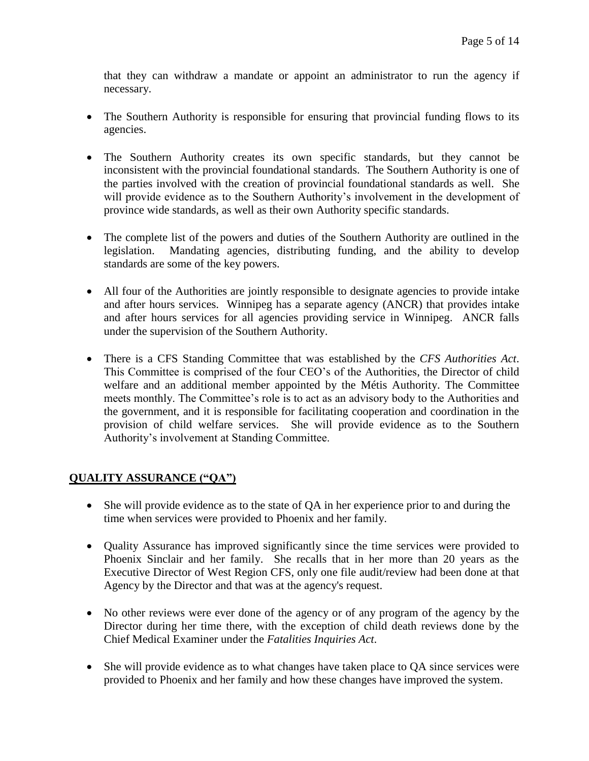that they can withdraw a mandate or appoint an administrator to run the agency if necessary.

- The Southern Authority is responsible for ensuring that provincial funding flows to its agencies.
- The Southern Authority creates its own specific standards, but they cannot be inconsistent with the provincial foundational standards. The Southern Authority is one of the parties involved with the creation of provincial foundational standards as well. She will provide evidence as to the Southern Authority's involvement in the development of province wide standards, as well as their own Authority specific standards.
- The complete list of the powers and duties of the Southern Authority are outlined in the legislation. Mandating agencies, distributing funding, and the ability to develop standards are some of the key powers.
- All four of the Authorities are jointly responsible to designate agencies to provide intake and after hours services. Winnipeg has a separate agency (ANCR) that provides intake and after hours services for all agencies providing service in Winnipeg. ANCR falls under the supervision of the Southern Authority.
- There is a CFS Standing Committee that was established by the *CFS Authorities Act*. This Committee is comprised of the four CEO's of the Authorities, the Director of child welfare and an additional member appointed by the Métis Authority. The Committee meets monthly. The Committee's role is to act as an advisory body to the Authorities and the government, and it is responsible for facilitating cooperation and coordination in the provision of child welfare services. She will provide evidence as to the Southern Authority's involvement at Standing Committee.

## **QUALITY ASSURANCE ("QA")**

- She will provide evidence as to the state of QA in her experience prior to and during the time when services were provided to Phoenix and her family.
- Quality Assurance has improved significantly since the time services were provided to Phoenix Sinclair and her family. She recalls that in her more than 20 years as the Executive Director of West Region CFS, only one file audit/review had been done at that Agency by the Director and that was at the agency's request.
- No other reviews were ever done of the agency or of any program of the agency by the Director during her time there, with the exception of child death reviews done by the Chief Medical Examiner under the *Fatalities Inquiries Act*.
- She will provide evidence as to what changes have taken place to QA since services were provided to Phoenix and her family and how these changes have improved the system.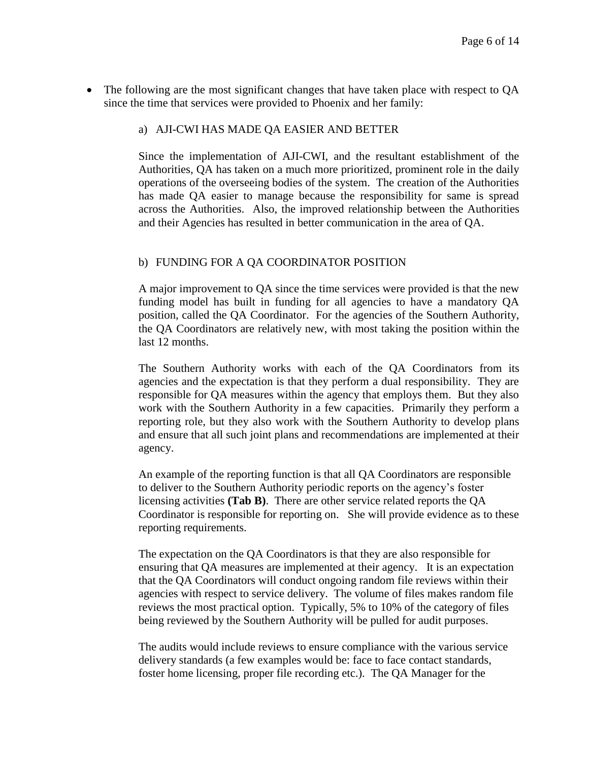The following are the most significant changes that have taken place with respect to QA since the time that services were provided to Phoenix and her family:

## a) AJI-CWI HAS MADE QA EASIER AND BETTER

Since the implementation of AJI-CWI, and the resultant establishment of the Authorities, QA has taken on a much more prioritized, prominent role in the daily operations of the overseeing bodies of the system. The creation of the Authorities has made QA easier to manage because the responsibility for same is spread across the Authorities. Also, the improved relationship between the Authorities and their Agencies has resulted in better communication in the area of QA.

### b) FUNDING FOR A QA COORDINATOR POSITION

A major improvement to QA since the time services were provided is that the new funding model has built in funding for all agencies to have a mandatory QA position, called the QA Coordinator. For the agencies of the Southern Authority, the QA Coordinators are relatively new, with most taking the position within the last 12 months.

The Southern Authority works with each of the QA Coordinators from its agencies and the expectation is that they perform a dual responsibility. They are responsible for QA measures within the agency that employs them. But they also work with the Southern Authority in a few capacities. Primarily they perform a reporting role, but they also work with the Southern Authority to develop plans and ensure that all such joint plans and recommendations are implemented at their agency.

An example of the reporting function is that all QA Coordinators are responsible to deliver to the Southern Authority periodic reports on the agency's foster licensing activities **(Tab B)**. There are other service related reports the QA Coordinator is responsible for reporting on. She will provide evidence as to these reporting requirements.

The expectation on the QA Coordinators is that they are also responsible for ensuring that QA measures are implemented at their agency. It is an expectation that the QA Coordinators will conduct ongoing random file reviews within their agencies with respect to service delivery. The volume of files makes random file reviews the most practical option. Typically, 5% to 10% of the category of files being reviewed by the Southern Authority will be pulled for audit purposes.

The audits would include reviews to ensure compliance with the various service delivery standards (a few examples would be: face to face contact standards, foster home licensing, proper file recording etc.). The QA Manager for the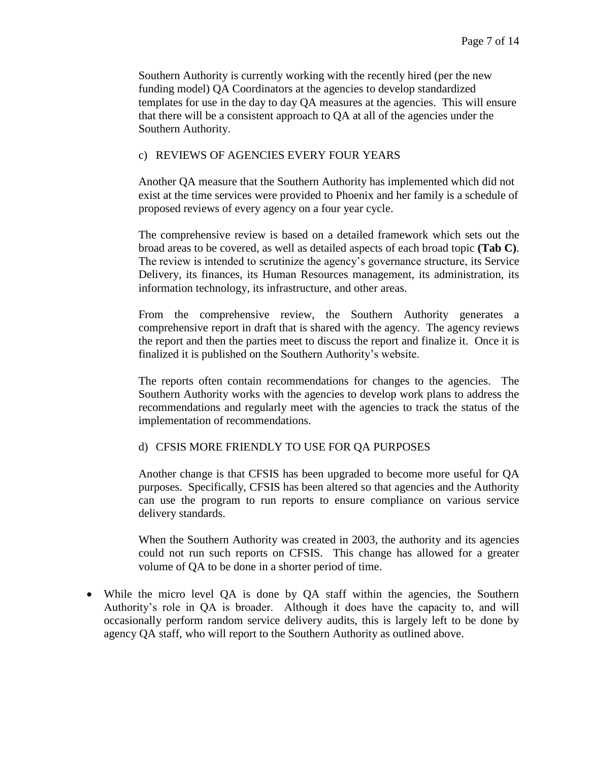Southern Authority is currently working with the recently hired (per the new funding model) QA Coordinators at the agencies to develop standardized templates for use in the day to day QA measures at the agencies. This will ensure that there will be a consistent approach to QA at all of the agencies under the Southern Authority.

### c) REVIEWS OF AGENCIES EVERY FOUR YEARS

Another QA measure that the Southern Authority has implemented which did not exist at the time services were provided to Phoenix and her family is a schedule of proposed reviews of every agency on a four year cycle.

The comprehensive review is based on a detailed framework which sets out the broad areas to be covered, as well as detailed aspects of each broad topic **(Tab C)**. The review is intended to scrutinize the agency's governance structure, its Service Delivery, its finances, its Human Resources management, its administration, its information technology, its infrastructure, and other areas.

From the comprehensive review, the Southern Authority generates a comprehensive report in draft that is shared with the agency. The agency reviews the report and then the parties meet to discuss the report and finalize it. Once it is finalized it is published on the Southern Authority's website.

The reports often contain recommendations for changes to the agencies. The Southern Authority works with the agencies to develop work plans to address the recommendations and regularly meet with the agencies to track the status of the implementation of recommendations.

#### d) CFSIS MORE FRIENDLY TO USE FOR QA PURPOSES

Another change is that CFSIS has been upgraded to become more useful for QA purposes. Specifically, CFSIS has been altered so that agencies and the Authority can use the program to run reports to ensure compliance on various service delivery standards.

When the Southern Authority was created in 2003, the authority and its agencies could not run such reports on CFSIS. This change has allowed for a greater volume of QA to be done in a shorter period of time.

• While the micro level QA is done by QA staff within the agencies, the Southern Authority's role in QA is broader. Although it does have the capacity to, and will occasionally perform random service delivery audits, this is largely left to be done by agency QA staff, who will report to the Southern Authority as outlined above.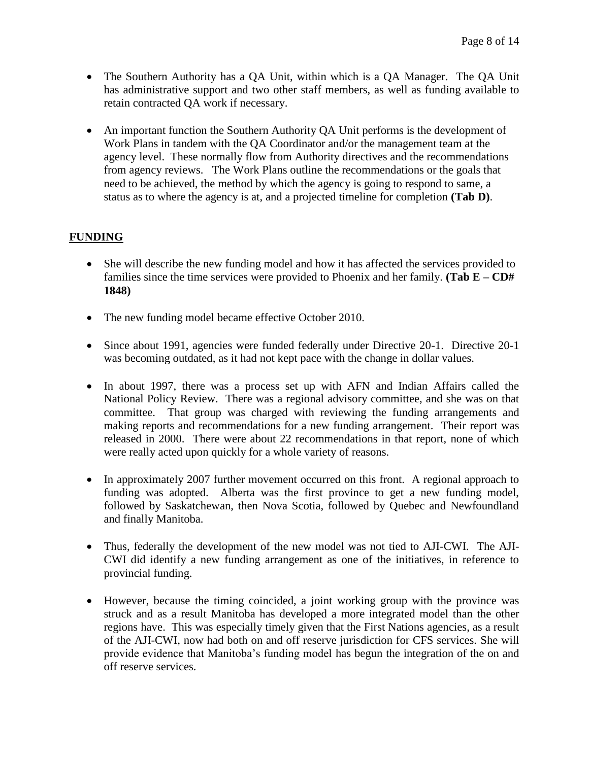- The Southern Authority has a QA Unit, within which is a QA Manager. The QA Unit has administrative support and two other staff members, as well as funding available to retain contracted QA work if necessary.
- An important function the Southern Authority QA Unit performs is the development of Work Plans in tandem with the QA Coordinator and/or the management team at the agency level. These normally flow from Authority directives and the recommendations from agency reviews. The Work Plans outline the recommendations or the goals that need to be achieved, the method by which the agency is going to respond to same, a status as to where the agency is at, and a projected timeline for completion **(Tab D)**.

## **FUNDING**

- She will describe the new funding model and how it has affected the services provided to families since the time services were provided to Phoenix and her family. **(Tab E – CD# 1848)**
- The new funding model became effective October 2010.
- Since about 1991, agencies were funded federally under Directive 20-1. Directive 20-1 was becoming outdated, as it had not kept pace with the change in dollar values.
- In about 1997, there was a process set up with AFN and Indian Affairs called the National Policy Review. There was a regional advisory committee, and she was on that committee. That group was charged with reviewing the funding arrangements and making reports and recommendations for a new funding arrangement. Their report was released in 2000. There were about 22 recommendations in that report, none of which were really acted upon quickly for a whole variety of reasons.
- In approximately 2007 further movement occurred on this front. A regional approach to funding was adopted. Alberta was the first province to get a new funding model, followed by Saskatchewan, then Nova Scotia, followed by Quebec and Newfoundland and finally Manitoba.
- Thus, federally the development of the new model was not tied to AJI-CWI. The AJI-CWI did identify a new funding arrangement as one of the initiatives, in reference to provincial funding.
- However, because the timing coincided, a joint working group with the province was struck and as a result Manitoba has developed a more integrated model than the other regions have. This was especially timely given that the First Nations agencies, as a result of the AJI-CWI, now had both on and off reserve jurisdiction for CFS services. She will provide evidence that Manitoba's funding model has begun the integration of the on and off reserve services.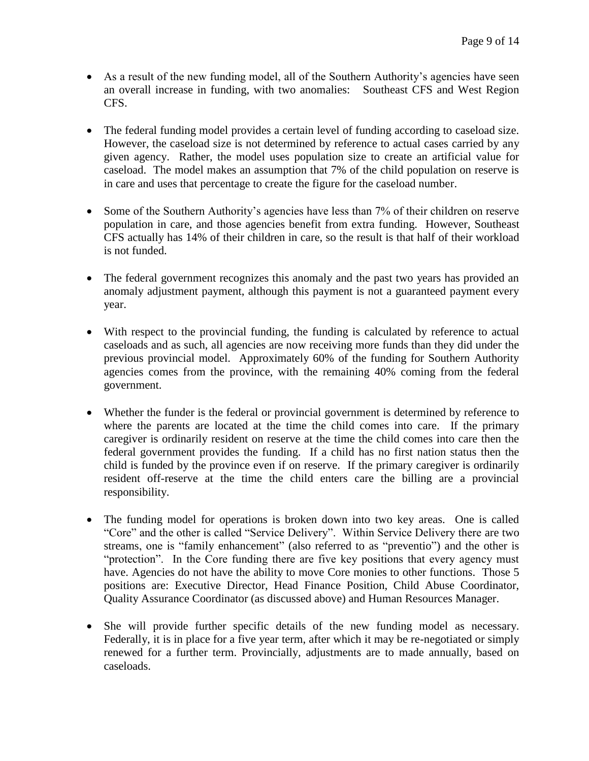- As a result of the new funding model, all of the Southern Authority's agencies have seen an overall increase in funding, with two anomalies: Southeast CFS and West Region CFS.
- The federal funding model provides a certain level of funding according to caseload size. However, the caseload size is not determined by reference to actual cases carried by any given agency. Rather, the model uses population size to create an artificial value for caseload. The model makes an assumption that 7% of the child population on reserve is in care and uses that percentage to create the figure for the caseload number.
- Some of the Southern Authority's agencies have less than 7% of their children on reserve population in care, and those agencies benefit from extra funding. However, Southeast CFS actually has 14% of their children in care, so the result is that half of their workload is not funded.
- The federal government recognizes this anomaly and the past two years has provided an anomaly adjustment payment, although this payment is not a guaranteed payment every year.
- With respect to the provincial funding, the funding is calculated by reference to actual caseloads and as such, all agencies are now receiving more funds than they did under the previous provincial model. Approximately 60% of the funding for Southern Authority agencies comes from the province, with the remaining 40% coming from the federal government.
- Whether the funder is the federal or provincial government is determined by reference to where the parents are located at the time the child comes into care. If the primary caregiver is ordinarily resident on reserve at the time the child comes into care then the federal government provides the funding. If a child has no first nation status then the child is funded by the province even if on reserve. If the primary caregiver is ordinarily resident off-reserve at the time the child enters care the billing are a provincial responsibility.
- The funding model for operations is broken down into two key areas. One is called "Core" and the other is called "Service Delivery". Within Service Delivery there are two streams, one is "family enhancement" (also referred to as "preventio") and the other is "protection". In the Core funding there are five key positions that every agency must have. Agencies do not have the ability to move Core monies to other functions. Those 5 positions are: Executive Director, Head Finance Position, Child Abuse Coordinator, Quality Assurance Coordinator (as discussed above) and Human Resources Manager.
- She will provide further specific details of the new funding model as necessary. Federally, it is in place for a five year term, after which it may be re-negotiated or simply renewed for a further term. Provincially, adjustments are to made annually, based on caseloads.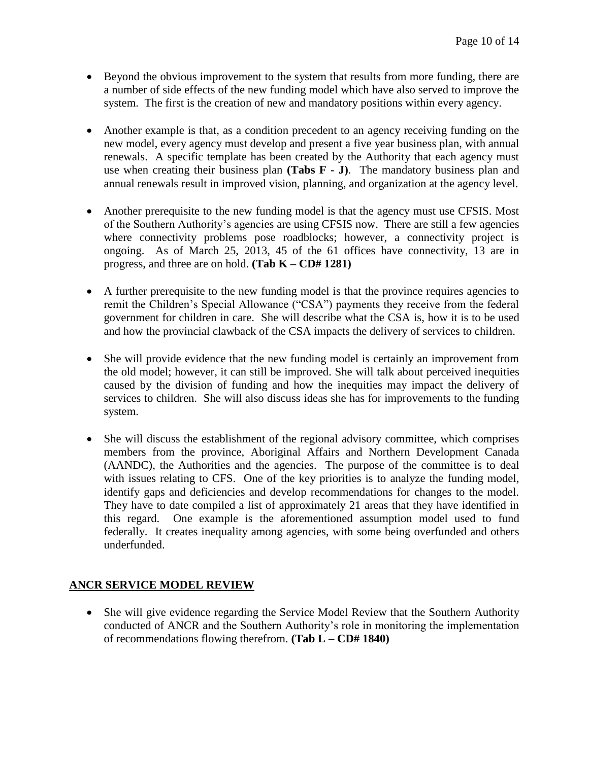- Beyond the obvious improvement to the system that results from more funding, there are a number of side effects of the new funding model which have also served to improve the system. The first is the creation of new and mandatory positions within every agency.
- Another example is that, as a condition precedent to an agency receiving funding on the new model, every agency must develop and present a five year business plan, with annual renewals. A specific template has been created by the Authority that each agency must use when creating their business plan **(Tabs F - J)**. The mandatory business plan and annual renewals result in improved vision, planning, and organization at the agency level.
- Another prerequisite to the new funding model is that the agency must use CFSIS. Most of the Southern Authority's agencies are using CFSIS now. There are still a few agencies where connectivity problems pose roadblocks; however, a connectivity project is ongoing. As of March 25, 2013, 45 of the 61 offices have connectivity, 13 are in progress, and three are on hold. **(Tab K – CD# 1281)**
- A further prerequisite to the new funding model is that the province requires agencies to remit the Children's Special Allowance ("CSA") payments they receive from the federal government for children in care. She will describe what the CSA is, how it is to be used and how the provincial clawback of the CSA impacts the delivery of services to children.
- She will provide evidence that the new funding model is certainly an improvement from the old model; however, it can still be improved. She will talk about perceived inequities caused by the division of funding and how the inequities may impact the delivery of services to children. She will also discuss ideas she has for improvements to the funding system.
- She will discuss the establishment of the regional advisory committee, which comprises members from the province, Aboriginal Affairs and Northern Development Canada (AANDC), the Authorities and the agencies. The purpose of the committee is to deal with issues relating to CFS. One of the key priorities is to analyze the funding model, identify gaps and deficiencies and develop recommendations for changes to the model. They have to date compiled a list of approximately 21 areas that they have identified in this regard. One example is the aforementioned assumption model used to fund federally. It creates inequality among agencies, with some being overfunded and others underfunded.

## **ANCR SERVICE MODEL REVIEW**

• She will give evidence regarding the Service Model Review that the Southern Authority conducted of ANCR and the Southern Authority's role in monitoring the implementation of recommendations flowing therefrom. **(Tab L – CD# 1840)**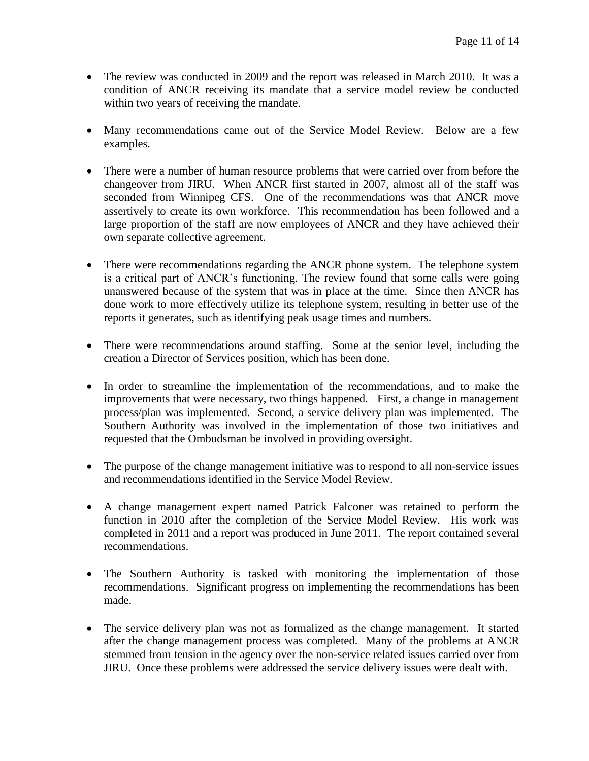- The review was conducted in 2009 and the report was released in March 2010. It was a condition of ANCR receiving its mandate that a service model review be conducted within two years of receiving the mandate.
- Many recommendations came out of the Service Model Review. Below are a few examples.
- There were a number of human resource problems that were carried over from before the changeover from JIRU. When ANCR first started in 2007, almost all of the staff was seconded from Winnipeg CFS. One of the recommendations was that ANCR move assertively to create its own workforce. This recommendation has been followed and a large proportion of the staff are now employees of ANCR and they have achieved their own separate collective agreement.
- There were recommendations regarding the ANCR phone system. The telephone system is a critical part of ANCR's functioning. The review found that some calls were going unanswered because of the system that was in place at the time. Since then ANCR has done work to more effectively utilize its telephone system, resulting in better use of the reports it generates, such as identifying peak usage times and numbers.
- There were recommendations around staffing. Some at the senior level, including the creation a Director of Services position, which has been done.
- In order to streamline the implementation of the recommendations, and to make the improvements that were necessary, two things happened. First, a change in management process/plan was implemented. Second, a service delivery plan was implemented. The Southern Authority was involved in the implementation of those two initiatives and requested that the Ombudsman be involved in providing oversight.
- The purpose of the change management initiative was to respond to all non-service issues and recommendations identified in the Service Model Review.
- A change management expert named Patrick Falconer was retained to perform the function in 2010 after the completion of the Service Model Review. His work was completed in 2011 and a report was produced in June 2011. The report contained several recommendations.
- The Southern Authority is tasked with monitoring the implementation of those recommendations. Significant progress on implementing the recommendations has been made.
- The service delivery plan was not as formalized as the change management. It started after the change management process was completed. Many of the problems at ANCR stemmed from tension in the agency over the non-service related issues carried over from JIRU. Once these problems were addressed the service delivery issues were dealt with.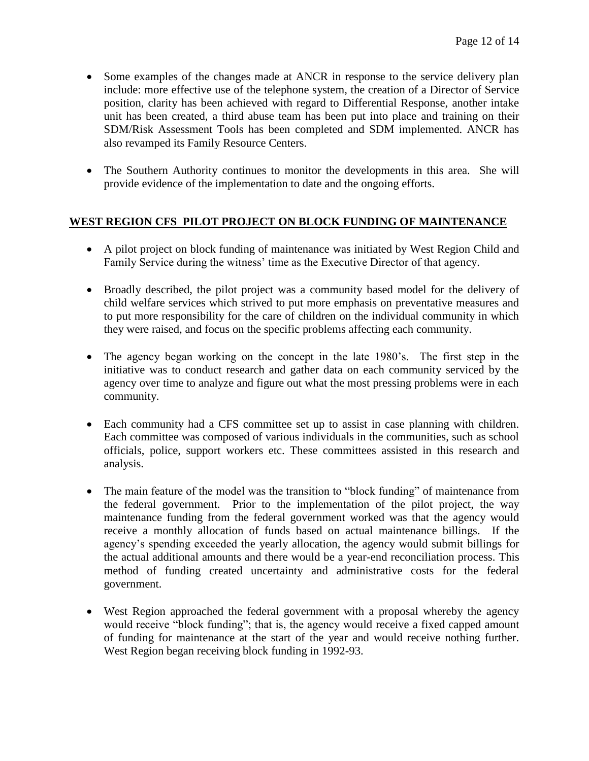- Some examples of the changes made at ANCR in response to the service delivery plan include: more effective use of the telephone system, the creation of a Director of Service position, clarity has been achieved with regard to Differential Response, another intake unit has been created, a third abuse team has been put into place and training on their SDM/Risk Assessment Tools has been completed and SDM implemented. ANCR has also revamped its Family Resource Centers.
- The Southern Authority continues to monitor the developments in this area. She will provide evidence of the implementation to date and the ongoing efforts.

## **WEST REGION CFS PILOT PROJECT ON BLOCK FUNDING OF MAINTENANCE**

- A pilot project on block funding of maintenance was initiated by West Region Child and Family Service during the witness' time as the Executive Director of that agency.
- Broadly described, the pilot project was a community based model for the delivery of child welfare services which strived to put more emphasis on preventative measures and to put more responsibility for the care of children on the individual community in which they were raised, and focus on the specific problems affecting each community.
- The agency began working on the concept in the late 1980's. The first step in the initiative was to conduct research and gather data on each community serviced by the agency over time to analyze and figure out what the most pressing problems were in each community.
- Each community had a CFS committee set up to assist in case planning with children. Each committee was composed of various individuals in the communities, such as school officials, police, support workers etc. These committees assisted in this research and analysis.
- The main feature of the model was the transition to "block funding" of maintenance from the federal government. Prior to the implementation of the pilot project, the way maintenance funding from the federal government worked was that the agency would receive a monthly allocation of funds based on actual maintenance billings. If the agency's spending exceeded the yearly allocation, the agency would submit billings for the actual additional amounts and there would be a year-end reconciliation process. This method of funding created uncertainty and administrative costs for the federal government.
- West Region approached the federal government with a proposal whereby the agency would receive "block funding"; that is, the agency would receive a fixed capped amount of funding for maintenance at the start of the year and would receive nothing further. West Region began receiving block funding in 1992-93.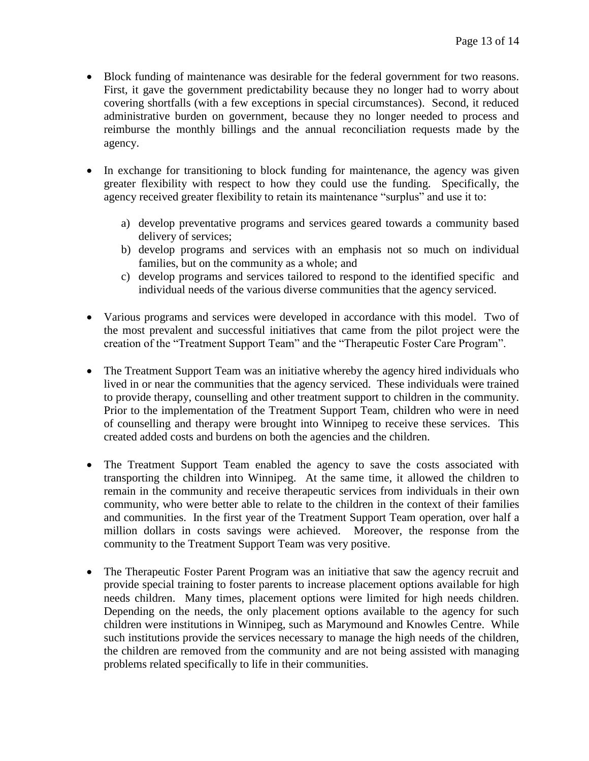- Block funding of maintenance was desirable for the federal government for two reasons. First, it gave the government predictability because they no longer had to worry about covering shortfalls (with a few exceptions in special circumstances). Second, it reduced administrative burden on government, because they no longer needed to process and reimburse the monthly billings and the annual reconciliation requests made by the agency.
- In exchange for transitioning to block funding for maintenance, the agency was given greater flexibility with respect to how they could use the funding. Specifically, the agency received greater flexibility to retain its maintenance "surplus" and use it to:
	- a) develop preventative programs and services geared towards a community based delivery of services;
	- b) develop programs and services with an emphasis not so much on individual families, but on the community as a whole; and
	- c) develop programs and services tailored to respond to the identified specific and individual needs of the various diverse communities that the agency serviced.
- Various programs and services were developed in accordance with this model. Two of the most prevalent and successful initiatives that came from the pilot project were the creation of the "Treatment Support Team" and the "Therapeutic Foster Care Program".
- The Treatment Support Team was an initiative whereby the agency hired individuals who lived in or near the communities that the agency serviced. These individuals were trained to provide therapy, counselling and other treatment support to children in the community. Prior to the implementation of the Treatment Support Team, children who were in need of counselling and therapy were brought into Winnipeg to receive these services. This created added costs and burdens on both the agencies and the children.
- The Treatment Support Team enabled the agency to save the costs associated with transporting the children into Winnipeg. At the same time, it allowed the children to remain in the community and receive therapeutic services from individuals in their own community, who were better able to relate to the children in the context of their families and communities. In the first year of the Treatment Support Team operation, over half a million dollars in costs savings were achieved. Moreover, the response from the community to the Treatment Support Team was very positive.
- The Therapeutic Foster Parent Program was an initiative that saw the agency recruit and provide special training to foster parents to increase placement options available for high needs children. Many times, placement options were limited for high needs children. Depending on the needs, the only placement options available to the agency for such children were institutions in Winnipeg, such as Marymound and Knowles Centre. While such institutions provide the services necessary to manage the high needs of the children, the children are removed from the community and are not being assisted with managing problems related specifically to life in their communities.